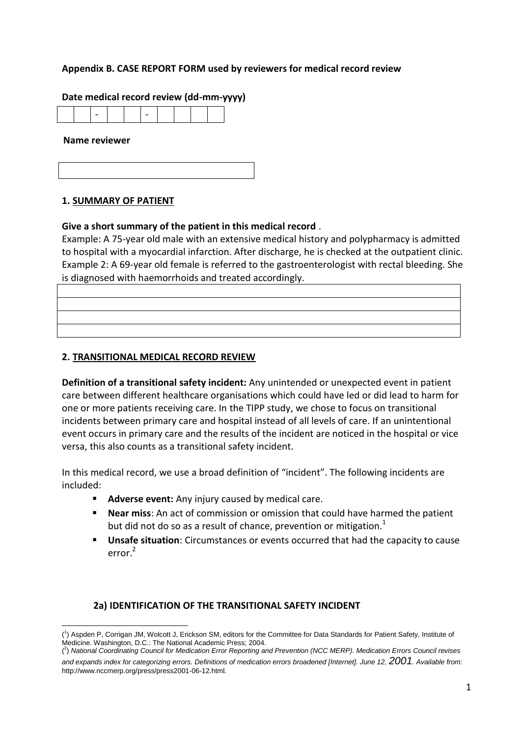## **Appendix B. CASE REPORT FORM used by reviewers for medical record review**

### **Date medical record review (dd-mm-yyyy)**

#### **Name reviewer**

#### **1. SUMMARY OF PATIENT**

#### **Give a short summary of the patient in this medical record** .

Example: A 75-year old male with an extensive medical history and polypharmacy is admitted to hospital with a myocardial infarction. After discharge, he is checked at the outpatient clinic. Example 2: A 69-year old female is referred to the gastroenterologist with rectal bleeding. She is diagnosed with haemorrhoids and treated accordingly.

### **2. TRANSITIONAL MEDICAL RECORD REVIEW**

**Definition of a transitional safety incident:** Any unintended or unexpected event in patient care between different healthcare organisations which could have led or did lead to harm for one or more patients receiving care. In the TIPP study, we chose to focus on transitional incidents between primary care and hospital instead of all levels of care. If an unintentional event occurs in primary care and the results of the incident are noticed in the hospital or vice versa, this also counts as a transitional safety incident.

In this medical record, we use a broad definition of "incident". The following incidents are included:

- **Adverse event:** Any injury caused by medical care.
- **Near miss**: An act of commission or omission that could have harmed the patient but did not do so as a result of chance, prevention or mitigation. $<sup>1</sup>$ </sup>
- **Unsafe situation**: Circumstances or events occurred that had the capacity to cause  $error<sup>2</sup>$

### **2a) IDENTIFICATION OF THE TRANSITIONAL SAFETY INCIDENT**

**<sup>.</sup>** ( 1 ) Aspden P, Corrigan JM, Wolcott J, Erickson SM, editors for the Committee for Data Standards for Patient Safety, Institute of Medicine. Washington, D.C.: The National Academic Press; 2004.

<sup>(</sup> 2 ) *National Coordinating Council for Medication Error Reporting and Prevention (NCC MERP). Medication Errors Council revises and expands index for categorizing errors. Definitions of medication errors broadened [Internet]. June 12, 2001. Available from:*  http://www.nccmerp.org/press/press2001-06-12.html*.*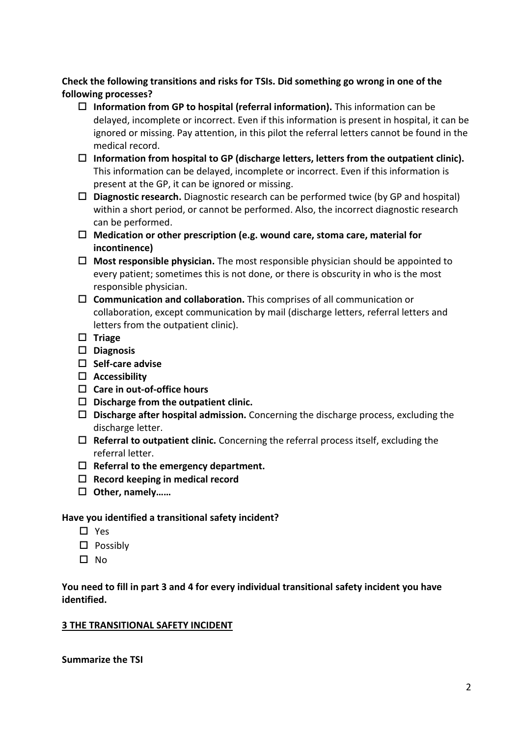**Check the following transitions and risks for TSIs. Did something go wrong in one of the following processes?** 

- **Information from GP to hospital (referral information).** This information can be delayed, incomplete or incorrect. Even if this information is present in hospital, it can be ignored or missing. Pay attention, in this pilot the referral letters cannot be found in the medical record.
- **Information from hospital to GP (discharge letters, letters from the outpatient clinic).**  This information can be delayed, incomplete or incorrect. Even if this information is present at the GP, it can be ignored or missing.
- **Diagnostic research.** Diagnostic research can be performed twice (by GP and hospital) within a short period, or cannot be performed. Also, the incorrect diagnostic research can be performed.
- **Medication or other prescription (e.g. wound care, stoma care, material for incontinence)**
- **Most responsible physician.** The most responsible physician should be appointed to every patient; sometimes this is not done, or there is obscurity in who is the most responsible physician.
- **Communication and collaboration.** This comprises of all communication or collaboration, except communication by mail (discharge letters, referral letters and letters from the outpatient clinic).
- **Triage**
- **Diagnosis**
- **Self-care advise**
- **Accessibility**
- **Care in out-of-office hours**
- **Discharge from the outpatient clinic.**
- **Discharge after hospital admission.** Concerning the discharge process, excluding the discharge letter.
- **Referral to outpatient clinic.** Concerning the referral process itself, excluding the referral letter.
- **Referral to the emergency department.**
- **Record keeping in medical record**
- **Other, namely……**

# **Have you identified a transitional safety incident?**

- $\Box$  Yes
- $\square$  Possibly
- $\square$  No

# **You need to fill in part 3 and 4 for every individual transitional safety incident you have identified.**

# **3 THE TRANSITIONAL SAFETY INCIDENT**

**Summarize the TSI**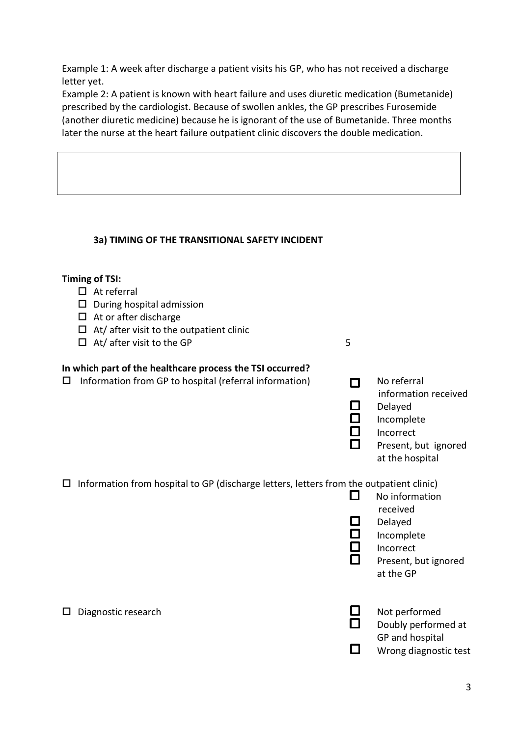Example 1: A week after discharge a patient visits his GP, who has not received a discharge letter yet.

Example 2: A patient is known with heart failure and uses diuretic medication (Bumetanide) prescribed by the cardiologist. Because of swollen ankles, the GP prescribes Furosemide (another diuretic medicine) because he is ignorant of the use of Bumetanide. Three months later the nurse at the heart failure outpatient clinic discovers the double medication.

# **3a) TIMING OF THE TRANSITIONAL SAFETY INCIDENT**

### **Timing of TSI:**

- $\Box$  At referral
- $\square$  During hospital admission
- $\Box$  At or after discharge
- $\Box$  At/ after visit to the outpatient clinic
- $\Box$  At/after visit to the GP 5

## **In which part of the healthcare process the TSI occurred?**

- $\Box$  Information from GP to hospital (referral information)  $\Box$  No referral
- information received  $\square$  Delayed<br> $\square$  Incomple Incomplete **Incorrect** 
	- Present, but ignored at the hospital

 $\Box$  Information from hospital to GP (discharge letters, letters from the outpatient clinic)

- $\Box$  No information received Delayed
- $\Box$  Incomplete
	- Incorrect
	- Present, but ignored at the GP
- 
- $\square$  Diagnostic research  $\square$  Not performed Doubly performed at
	- GP and hospital
	- П. Wrong diagnostic test

3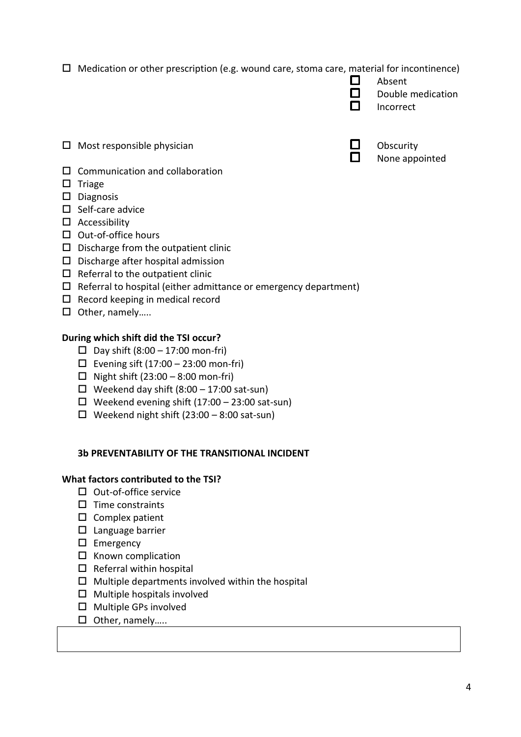$\Box$  Medication or other prescription (e.g. wound care, stoma care, material for incontinence)

|        | Absent            |
|--------|-------------------|
| $\Box$ | Double medication |

- $\Box$  Incorrect
- $\Box$  Most responsible physician  $\Box$  Obscurity
- None appointed

- $\square$  Communication and collaboration
- $\square$  Triage
- $\square$  Diagnosis
- $\square$  Self-care advice
- $\square$  Accessibility
- $\square$  Out-of-office hours
- $\square$  Discharge from the outpatient clinic
- $\square$  Discharge after hospital admission
- $\Box$  Referral to the outpatient clinic
- $\Box$  Referral to hospital (either admittance or emergency department)
- $\Box$  Record keeping in medical record
- □ Other, namely.....

# **During which shift did the TSI occur?**

- $\Box$  Day shift (8:00 17:00 mon-fri)
- Evening sift  $(17:00 23:00$  mon-fri)
- $\Box$  Night shift (23:00 8:00 mon-fri)
- $\Box$  Weekend day shift (8:00 17:00 sat-sun)
- $\Box$  Weekend evening shift (17:00 23:00 sat-sun)
- $\Box$  Weekend night shift (23:00 8:00 sat-sun)

# **3b PREVENTABILITY OF THE TRANSITIONAL INCIDENT**

# **What factors contributed to the TSI?**

- $\Box$  Out-of-office service
- $\square$  Time constraints
- $\square$  Complex patient
- $\square$  Language barrier
- $\square$  Emergency
- $\square$  Known complication
- $\Box$  Referral within hospital
- $\square$  Multiple departments involved within the hospital
- $\Box$  Multiple hospitals involved
- Multiple GPs involved
- $\Box$  Other, namely.....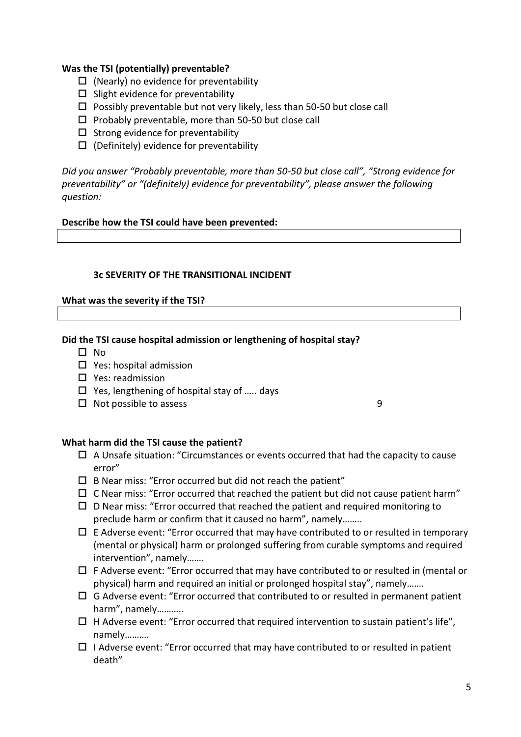### **Was the TSI (potentially) preventable?**

- $\Box$  (Nearly) no evidence for preventability
- $\square$  Slight evidence for preventability
- $\square$  Possibly preventable but not very likely, less than 50-50 but close call
- $\square$  Probably preventable, more than 50-50 but close call
- $\square$  Strong evidence for preventability
- $\Box$  (Definitely) evidence for preventability

*Did you answer "Probably preventable, more than 50-50 but close call", "Strong evidence for preventability" or "(definitely) evidence for preventability", please answer the following question:* 

### **Describe how the TSI could have been prevented:**

### **3c SEVERITY OF THE TRANSITIONAL INCIDENT**

### **What was the severity if the TSI?**

### **Did the TSI cause hospital admission or lengthening of hospital stay?**

- $\Box$  No.
- $\square$  Yes: hospital admission
- $\square$  Yes: readmission
- $\Box$  Yes, lengthening of hospital stay of ..... days
- $\Box$  Not possible to assess 9

# **What harm did the TSI cause the patient?**

- $\Box$  A Unsafe situation: "Circumstances or events occurred that had the capacity to cause error"
- $\square$  B Near miss: "Error occurred but did not reach the patient"
- $\Box$  C Near miss: "Error occurred that reached the patient but did not cause patient harm"
- $\Box$  D Near miss: "Error occurred that reached the patient and required monitoring to preclude harm or confirm that it caused no harm", namely……..
- $\Box$  E Adverse event: "Error occurred that may have contributed to or resulted in temporary (mental or physical) harm or prolonged suffering from curable symptoms and required intervention", namely…….
- $\Box$  F Adverse event: "Error occurred that may have contributed to or resulted in (mental or physical) harm and required an initial or prolonged hospital stay", namely…….
- $\Box$  G Adverse event: "Error occurred that contributed to or resulted in permanent patient harm", namely………..
- $\Box$  H Adverse event: "Error occurred that required intervention to sustain patient's life", namely……….
- $\Box$  I Adverse event: "Error occurred that may have contributed to or resulted in patient death"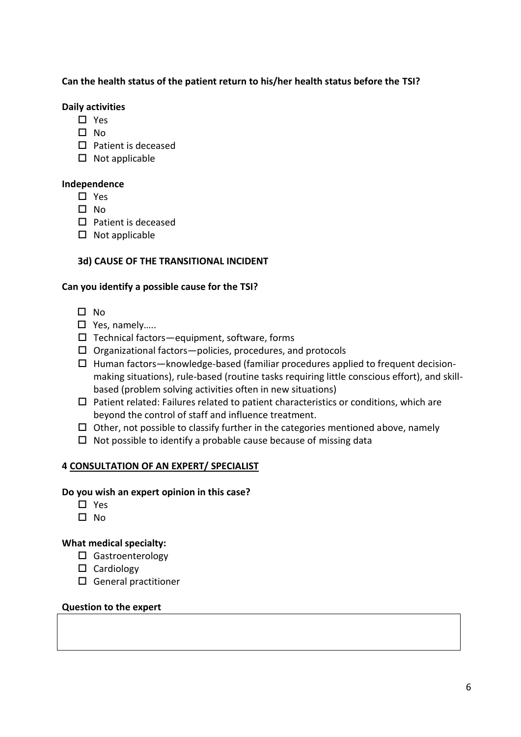## **Can the health status of the patient return to his/her health status before the TSI?**

### **Daily activities**

- □ Yes
- $\Pi$  No
- $\square$  Patient is deceased
- $\square$  Not applicable

### **Independence**

- □ Yes
- $\Box$  No.
- $\square$  Patient is deceased
- $\square$  Not applicable

# **3d) CAUSE OF THE TRANSITIONAL INCIDENT**

### **Can you identify a possible cause for the TSI?**

- $\square$  No
- □ Yes, namely……
- $\square$  Technical factors—equipment, software, forms
- $\Box$  Organizational factors—policies, procedures, and protocols
- $\Box$  Human factors—knowledge-based (familiar procedures applied to frequent decisionmaking situations), rule-based (routine tasks requiring little conscious effort), and skillbased (problem solving activities often in new situations)
- $\Box$  Patient related: Failures related to patient characteristics or conditions, which are beyond the control of staff and influence treatment.
- $\Box$  Other, not possible to classify further in the categories mentioned above, namely
- $\Box$  Not possible to identify a probable cause because of missing data

# **4 CONSULTATION OF AN EXPERT/ SPECIALIST**

### **Do you wish an expert opinion in this case?**

- $\Box$  Yes
- $\square$  No

# **What medical specialty:**

- □ Gastroenterology
- □ Cardiology
- General practitioner

### **Question to the expert**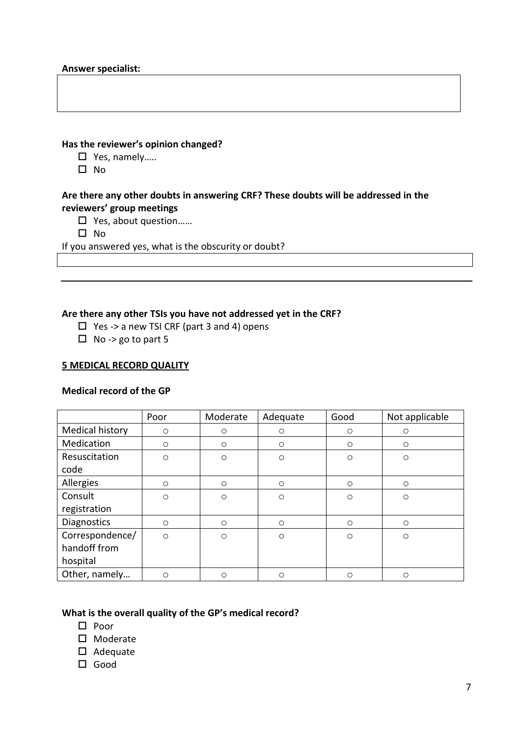### **Has the reviewer's opinion changed?**

- □ Yes, namely.....
- $\square$  No

## **Are there any other doubts in answering CRF? These doubts will be addressed in the reviewers' group meetings**

- □ Yes, about question……
- $\square$  No

If you answered yes, what is the obscurity or doubt?

### **Are there any other TSIs you have not addressed yet in the CRF?**

- $\Box$  Yes -> a new TSI CRF (part 3 and 4) opens
- $\Box$  No -> go to part 5

### **5 MEDICAL RECORD QUALITY**

### **Medical record of the GP**

|                    | Poor    | Moderate | Adequate | Good    | Not applicable |
|--------------------|---------|----------|----------|---------|----------------|
| Medical history    | $\circ$ | $\circ$  | $\circ$  | $\circ$ | $\circ$        |
| Medication         | $\circ$ | $\circ$  | $\circ$  | $\circ$ | $\circ$        |
| Resuscitation      | $\circ$ | $\circ$  | $\circ$  | $\circ$ | $\circ$        |
| code               |         |          |          |         |                |
| Allergies          | $\circ$ | $\circ$  | $\circ$  | $\circ$ | $\circ$        |
| Consult            | $\circ$ | $\circ$  | $\circ$  | $\circ$ | $\circ$        |
| registration       |         |          |          |         |                |
| <b>Diagnostics</b> | $\circ$ | $\circ$  | $\circ$  | $\circ$ | $\circ$        |
| Correspondence/    | $\circ$ | $\circ$  | $\circ$  | $\circ$ | $\circ$        |
| handoff from       |         |          |          |         |                |
| hospital           |         |          |          |         |                |
| Other, namely      | $\circ$ | $\circ$  | $\circ$  | $\circ$ | $\circ$        |

# **What is the overall quality of the GP's medical record?**

- $\square$  Poor
- □ Moderate
- Adequate
- □ Good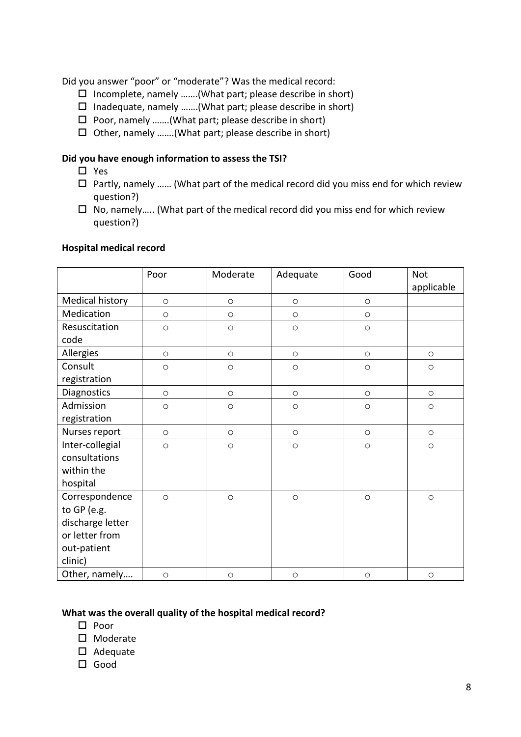Did you answer "poor" or "moderate"? Was the medical record:

- $\square$  Incomplete, namely .......(What part; please describe in short)
- $\square$  Inadequate, namely .......(What part; please describe in short)
- $\square$  Poor, namely .......(What part; please describe in short)
- $\Box$  Other, namely .......(What part; please describe in short)

### **Did you have enough information to assess the TSI?**

- □ Yes
- $\Box$  Partly, namely ...... (What part of the medical record did you miss end for which review question?)
- $\Box$  No, namely..... (What part of the medical record did you miss end for which review question?)

|                        | Poor    | Moderate | Adequate | Good    | <b>Not</b><br>applicable |
|------------------------|---------|----------|----------|---------|--------------------------|
| Medical history        | $\circ$ | $\circ$  | $\circ$  | $\circ$ |                          |
| Medication             | $\circ$ | $\circ$  | $\circ$  | $\circ$ |                          |
| Resuscitation          | $\circ$ | $\circ$  | $\circ$  | $\circ$ |                          |
| code                   |         |          |          |         |                          |
| Allergies              | $\circ$ | $\circ$  | $\circ$  | $\circ$ | $\circ$                  |
| Consult                | $\circ$ | $\circ$  | $\circ$  | $\circ$ | $\circ$                  |
| registration           |         |          |          |         |                          |
| Diagnostics            | $\circ$ | $\circ$  | $\circ$  | $\circ$ | $\circ$                  |
| Admission              | $\circ$ | $\circ$  | $\circ$  | $\circ$ | $\circ$                  |
| registration           |         |          |          |         |                          |
| Nurses report          | $\circ$ | $\circ$  | $\circ$  | $\circ$ | $\circ$                  |
| Inter-collegial        | $\circ$ | $\circ$  | $\circ$  | $\circ$ | $\circ$                  |
| consultations          |         |          |          |         |                          |
| within the             |         |          |          |         |                          |
| hospital               |         |          |          |         |                          |
| Correspondence         | $\circ$ | $\circ$  | $\circ$  | $\circ$ | $\circ$                  |
| to GP (e.g.            |         |          |          |         |                          |
| discharge letter       |         |          |          |         |                          |
| or letter from         |         |          |          |         |                          |
| out-patient<br>clinic) |         |          |          |         |                          |
| Other, namely          | $\circ$ | $\circ$  | $\circ$  | $\circ$ | $\bigcirc$               |

#### **Hospital medical record**

### **What was the overall quality of the hospital medical record?**

- $\square$  Poor
- $\square$  Moderate
- $\square$  Adequate
- Good